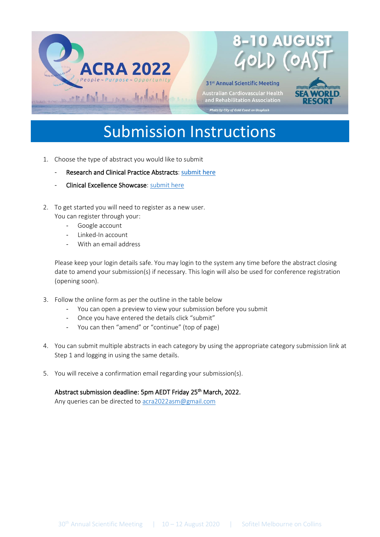

31st Annual Scientific Meeting

Australian Cardiovascular Health<br>and Rehabilitation Association Photo by City of Gold Coast on Unsplash



## Submission Instructions

- 1. Choose the type of abstract you would like to submit
	- Research and Clinical Practice Abstracts: [submit here](https://app.oxfordabstracts.com/stages/3610/submissions/new)
	- Clinical Excellence Showcase: submit here
- 2. To get started you will need to register as a new user. You can register through your:
	- Google account
	- Linked-In account
	- With an email address

Please keep your login details safe. You may login to the system any time before the abstract closing date to amend your submission(s) if necessary. This login will also be used for conference registration (opening soon).

- 3. Follow the online form as per the outline in the table below
	- You can open a preview to view your submission before you submit
	- Once you have entered the details click "submit"
	- You can then "amend" or "continue" (top of page)
- 4. You can submit multiple abstracts in each category by using the appropriate category submission link at Step 1 and logging in using the same details.
- 5. You will receive a confirmation email regarding your submission(s).

## Abstract submission deadline: 5pm AEDT Friday 25<sup>th</sup> March, 2022.

Any queries can be directed to [acra2022asm@gmail.com](mailto:acra2022asm@gmail.com)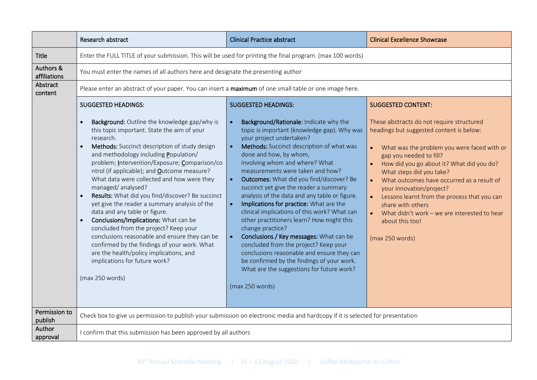|                           | Research abstract                                                                                                                                                                                                                                                                                                                                                                                                                                                                                                                                                                                                                                                                                                                                                                                                                                                         | <b>Clinical Practice abstract</b>                                                                                                                                                                                                                                                                                                                                                                                                                                                                                                                                                                                                                                                                                                                                                                                                                            | <b>Clinical Excellence Showcase</b>                                                                                                                                                                                                                                                                                                                                                                                                                                                                        |  |
|---------------------------|---------------------------------------------------------------------------------------------------------------------------------------------------------------------------------------------------------------------------------------------------------------------------------------------------------------------------------------------------------------------------------------------------------------------------------------------------------------------------------------------------------------------------------------------------------------------------------------------------------------------------------------------------------------------------------------------------------------------------------------------------------------------------------------------------------------------------------------------------------------------------|--------------------------------------------------------------------------------------------------------------------------------------------------------------------------------------------------------------------------------------------------------------------------------------------------------------------------------------------------------------------------------------------------------------------------------------------------------------------------------------------------------------------------------------------------------------------------------------------------------------------------------------------------------------------------------------------------------------------------------------------------------------------------------------------------------------------------------------------------------------|------------------------------------------------------------------------------------------------------------------------------------------------------------------------------------------------------------------------------------------------------------------------------------------------------------------------------------------------------------------------------------------------------------------------------------------------------------------------------------------------------------|--|
| <b>Title</b>              | Enter the FULL TITLE of your submission. This will be used for printing the final program. (max 100 words)                                                                                                                                                                                                                                                                                                                                                                                                                                                                                                                                                                                                                                                                                                                                                                |                                                                                                                                                                                                                                                                                                                                                                                                                                                                                                                                                                                                                                                                                                                                                                                                                                                              |                                                                                                                                                                                                                                                                                                                                                                                                                                                                                                            |  |
| Authors &<br>affiliations | You must enter the names of all authors here and designate the presenting author                                                                                                                                                                                                                                                                                                                                                                                                                                                                                                                                                                                                                                                                                                                                                                                          |                                                                                                                                                                                                                                                                                                                                                                                                                                                                                                                                                                                                                                                                                                                                                                                                                                                              |                                                                                                                                                                                                                                                                                                                                                                                                                                                                                                            |  |
| Abstract<br>content       | Please enter an abstract of your paper. You can insert a maximum of one small table or one image here.                                                                                                                                                                                                                                                                                                                                                                                                                                                                                                                                                                                                                                                                                                                                                                    |                                                                                                                                                                                                                                                                                                                                                                                                                                                                                                                                                                                                                                                                                                                                                                                                                                                              |                                                                                                                                                                                                                                                                                                                                                                                                                                                                                                            |  |
|                           | <b>SUGGESTED HEADINGS:</b><br>Background: Outline the knowledge gap/why is<br>$\bullet$<br>this topic important. State the aim of your<br>research.<br>Methods: Succinct description of study design<br>and methodology including Population/<br>problem; Intervention/Exposure; Comparison/co<br>ntrol (if applicable); and <b>Qutcome measure?</b><br>What data were collected and how were they<br>managed/analysed?<br>Results: What did you find/discover? Be succinct<br>$\bullet$<br>yet give the reader a summary analysis of the<br>data and any table or figure.<br>Conclusions/Implications: What can be<br>$\bullet$<br>concluded from the project? Keep your<br>conclusions reasonable and ensure they can be<br>confirmed by the findings of your work. What<br>are the health/policy implications, and<br>implications for future work?<br>(max 250 words) | <b>SUGGESTED HEADINGS:</b><br>Background/Rationale: Indicate why the<br>topic is important (knowledge gap). Why was<br>your project undertaken?<br>Methods: Succinct description of what was<br>done and how, by whom,<br>involving whom and where? What<br>measurements were taken and how?<br>Outcomes: What did you find/discover? Be<br>succinct yet give the reader a summary<br>analysis of the data and any table or figure.<br>Implications for practice: What are the<br>clinical implications of this work? What can<br>other practitioners learn? How might this<br>change practice?<br>Conclusions / Key messages: What can be<br>$\bullet$<br>concluded from the project? Keep your<br>conclusions reasonable and ensure they can<br>be confirmed by the findings of your work.<br>What are the suggestions for future work?<br>(max 250 words) | <b>SUGGESTED CONTENT:</b><br>These abstracts do not require structured<br>headings but suggested content is below:<br>What was the problem you were faced with or<br>gap you needed to fill?<br>How did you go about it? What did you do?<br>What steps did you take?<br>What outcomes have occurred as a result of<br>your innovation/project?<br>Lessons learnt from the process that you can<br>share with others<br>What didn't work - we are interested to hear<br>about this too!<br>(max 250 words) |  |
| Permission to<br>publish  | Check box to give us permission to publish your submission on electronic media and hardcopy if it is selected for presentation                                                                                                                                                                                                                                                                                                                                                                                                                                                                                                                                                                                                                                                                                                                                            |                                                                                                                                                                                                                                                                                                                                                                                                                                                                                                                                                                                                                                                                                                                                                                                                                                                              |                                                                                                                                                                                                                                                                                                                                                                                                                                                                                                            |  |
| Author<br>approval        | I confirm that this submission has been approved by all authors                                                                                                                                                                                                                                                                                                                                                                                                                                                                                                                                                                                                                                                                                                                                                                                                           |                                                                                                                                                                                                                                                                                                                                                                                                                                                                                                                                                                                                                                                                                                                                                                                                                                                              |                                                                                                                                                                                                                                                                                                                                                                                                                                                                                                            |  |